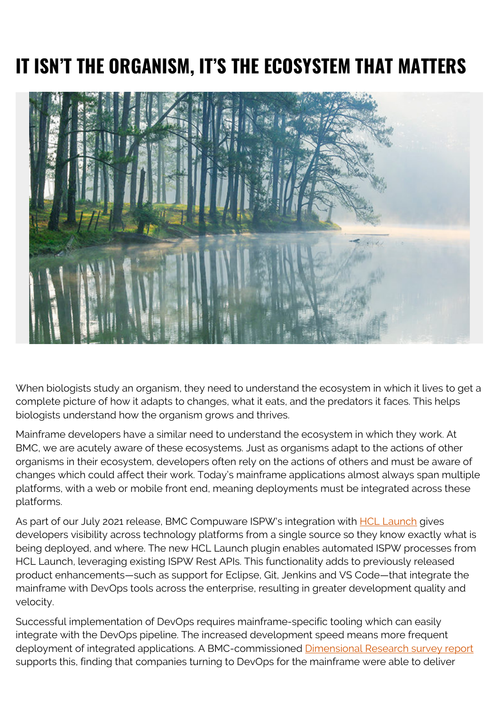## **IT ISN'T THE ORGANISM, IT'S THE ECOSYSTEM THAT MATTERS**



When biologists study an organism, they need to understand the ecosystem in which it lives to get a complete picture of how it adapts to changes, what it eats, and the predators it faces. This helps biologists understand how the organism grows and thrives.

Mainframe developers have a similar need to understand the ecosystem in which they work. At BMC, we are acutely aware of these ecosystems. Just as organisms adapt to the actions of other organisms in their ecosystem, developers often rely on the actions of others and must be aware of changes which could affect their work. Today's mainframe applications almost always span multiple platforms, with a web or mobile front end, meaning deployments must be integrated across these platforms.

As part of our July 2021 release, BMC Compuware ISPW's integration with **HCL Launch** gives developers visibility across technology platforms from a single source so they know exactly what is being deployed, and where. The new HCL Launch plugin enables automated ISPW processes from HCL Launch, leveraging existing ISPW Rest APIs. This functionality adds to previously released product enhancements—such as support for Eclipse, Git, Jenkins and VS Code—that integrate the mainframe with DevOps tools across the enterprise, resulting in greater development quality and velocity.

Successful implementation of DevOps requires mainframe-specific tooling which can easily integrate with the DevOps pipeline. The increased development speed means more frequent deployment of integrated applications. A BMC-commissioned **Dimensional Research survey report** supports this, finding that companies turning to DevOps for the mainframe were able to deliver